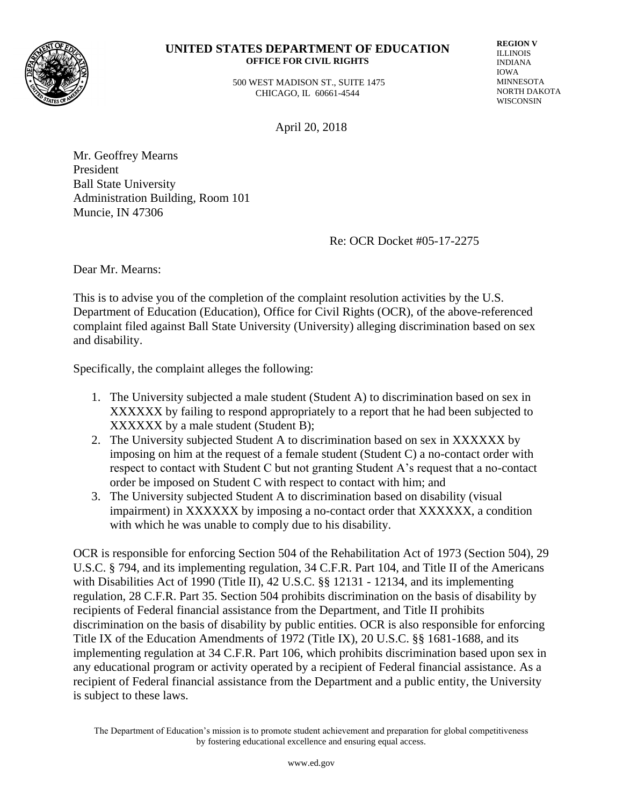

#### **UNITED STATES DEPARTMENT OF EDUCATION OFFICE FOR CIVIL RIGHTS**

 500 WEST MADISON ST., SUITE 1475 CHICAGO, IL 60661-4544

**REGION V** ILLINOIS INDIANA IOWA MINNESOTA NORTH DAKOTA WISCONSIN

April 20, 2018

Mr. Geoffrey Mearns President Ball State University Administration Building, Room 101 Muncie, IN 47306

Re: OCR Docket #05-17-2275

Dear Mr. Mearns:

This is to advise you of the completion of the complaint resolution activities by the U.S. Department of Education (Education), Office for Civil Rights (OCR), of the above-referenced complaint filed against Ball State University (University) alleging discrimination based on sex and disability.

Specifically, the complaint alleges the following:

- 1. The University subjected a male student (Student A) to discrimination based on sex in XXXXXX by failing to respond appropriately to a report that he had been subjected to XXXXXX by a male student (Student B);
- 2. The University subjected Student A to discrimination based on sex in XXXXXX by imposing on him at the request of a female student (Student C) a no-contact order with respect to contact with Student C but not granting Student A's request that a no-contact order be imposed on Student C with respect to contact with him; and
- 3. The University subjected Student A to discrimination based on disability (visual impairment) in XXXXXX by imposing a no-contact order that XXXXXX, a condition with which he was unable to comply due to his disability.

OCR is responsible for enforcing Section 504 of the Rehabilitation Act of 1973 (Section 504), 29 U.S.C. § 794, and its implementing regulation, 34 C.F.R. Part 104, and Title II of the Americans with Disabilities Act of 1990 (Title II), 42 U.S.C. §§ 12131 - 12134, and its implementing regulation, 28 C.F.R. Part 35. Section 504 prohibits discrimination on the basis of disability by recipients of Federal financial assistance from the Department, and Title II prohibits discrimination on the basis of disability by public entities. OCR is also responsible for enforcing Title IX of the Education Amendments of 1972 (Title IX), 20 U.S.C. §§ 1681-1688*,* and its implementing regulation at 34 C.F.R. Part 106, which prohibits discrimination based upon sex in any educational program or activity operated by a recipient of Federal financial assistance. As a recipient of Federal financial assistance from the Department and a public entity, the University is subject to these laws.

The Department of Education's mission is to promote student achievement and preparation for global competitiveness by fostering educational excellence and ensuring equal access.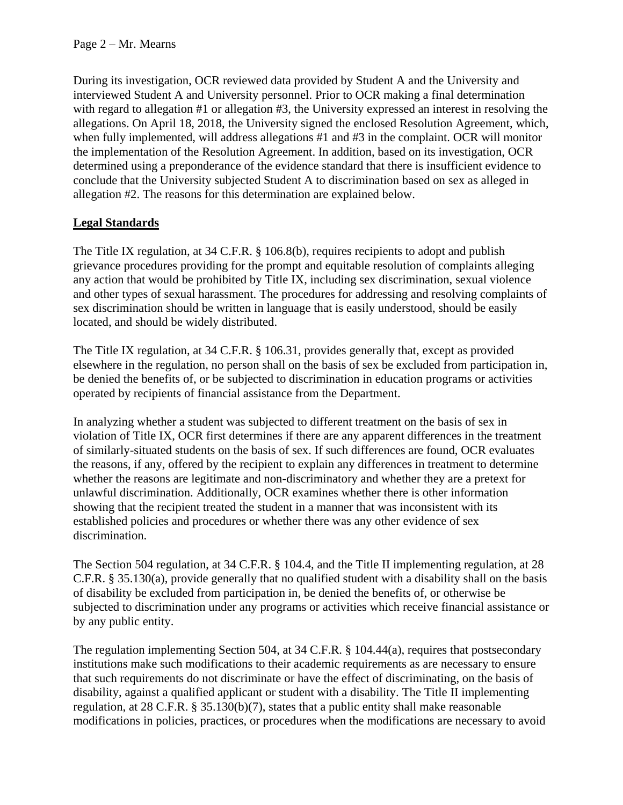During its investigation, OCR reviewed data provided by Student A and the University and interviewed Student A and University personnel. Prior to OCR making a final determination with regard to allegation #1 or allegation #3, the University expressed an interest in resolving the allegations. On April 18, 2018, the University signed the enclosed Resolution Agreement, which, when fully implemented, will address allegations #1 and #3 in the complaint. OCR will monitor the implementation of the Resolution Agreement. In addition, based on its investigation, OCR determined using a preponderance of the evidence standard that there is insufficient evidence to conclude that the University subjected Student A to discrimination based on sex as alleged in allegation #2. The reasons for this determination are explained below.

# **Legal Standards**

The Title IX regulation, at 34 C.F.R. § 106.8(b), requires recipients to adopt and publish grievance procedures providing for the prompt and equitable resolution of complaints alleging any action that would be prohibited by Title IX, including sex discrimination, sexual violence and other types of sexual harassment. The procedures for addressing and resolving complaints of sex discrimination should be written in language that is easily understood, should be easily located, and should be widely distributed.

The Title IX regulation, at 34 C.F.R. § 106.31, provides generally that, except as provided elsewhere in the regulation, no person shall on the basis of sex be excluded from participation in, be denied the benefits of, or be subjected to discrimination in education programs or activities operated by recipients of financial assistance from the Department.

In analyzing whether a student was subjected to different treatment on the basis of sex in violation of Title IX, OCR first determines if there are any apparent differences in the treatment of similarly-situated students on the basis of sex. If such differences are found, OCR evaluates the reasons, if any, offered by the recipient to explain any differences in treatment to determine whether the reasons are legitimate and non-discriminatory and whether they are a pretext for unlawful discrimination. Additionally, OCR examines whether there is other information showing that the recipient treated the student in a manner that was inconsistent with its established policies and procedures or whether there was any other evidence of sex discrimination.

The Section 504 regulation, at 34 C.F.R. § 104.4, and the Title II implementing regulation, at 28 C.F.R. § 35.130(a), provide generally that no qualified student with a disability shall on the basis of disability be excluded from participation in, be denied the benefits of, or otherwise be subjected to discrimination under any programs or activities which receive financial assistance or by any public entity.

The regulation implementing Section 504, at 34 C.F.R. § 104.44(a), requires that postsecondary institutions make such modifications to their academic requirements as are necessary to ensure that such requirements do not discriminate or have the effect of discriminating, on the basis of disability, against a qualified applicant or student with a disability. The Title II implementing regulation, at 28 C.F.R. § 35.130(b)(7), states that a public entity shall make reasonable modifications in policies, practices, or procedures when the modifications are necessary to avoid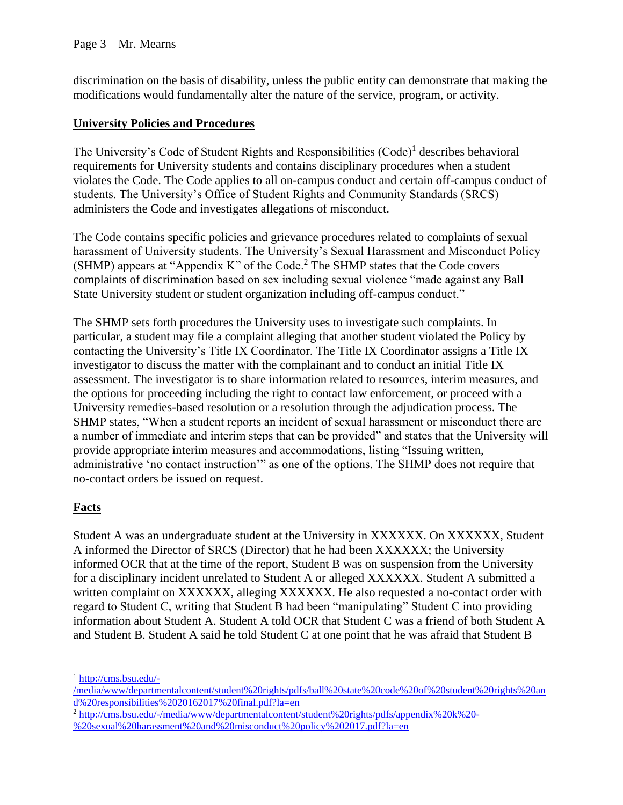discrimination on the basis of disability, unless the public entity can demonstrate that making the modifications would fundamentally alter the nature of the service, program, or activity.

# **University Policies and Procedures**

The University's Code of Student Rights and Responsibilities (Code)<sup>1</sup> describes behavioral requirements for University students and contains disciplinary procedures when a student violates the Code. The Code applies to all on-campus conduct and certain off-campus conduct of students. The University's Office of Student Rights and Community Standards (SRCS) administers the Code and investigates allegations of misconduct.

The Code contains specific policies and grievance procedures related to complaints of sexual harassment of University students. The University's Sexual Harassment and Misconduct Policy (SHMP) appears at "Appendix K" of the Code.<sup>2</sup> The SHMP states that the Code covers complaints of discrimination based on sex including sexual violence "made against any Ball State University student or student organization including off-campus conduct."

The SHMP sets forth procedures the University uses to investigate such complaints. In particular, a student may file a complaint alleging that another student violated the Policy by contacting the University's Title IX Coordinator. The Title IX Coordinator assigns a Title IX investigator to discuss the matter with the complainant and to conduct an initial Title IX assessment. The investigator is to share information related to resources, interim measures, and the options for proceeding including the right to contact law enforcement, or proceed with a University remedies-based resolution or a resolution through the adjudication process. The SHMP states, "When a student reports an incident of sexual harassment or misconduct there are a number of immediate and interim steps that can be provided" and states that the University will provide appropriate interim measures and accommodations, listing "Issuing written, administrative 'no contact instruction'" as one of the options. The SHMP does not require that no-contact orders be issued on request.

# **Facts**

 $\overline{a}$ 

Student A was an undergraduate student at the University in XXXXXXX. On XXXXXX, Student A informed the Director of SRCS (Director) that he had been XXXXXX; the University informed OCR that at the time of the report, Student B was on suspension from the University for a disciplinary incident unrelated to Student A or alleged XXXXXX. Student A submitted a written complaint on XXXXXX, alleging XXXXXX. He also requested a no-contact order with regard to Student C, writing that Student B had been "manipulating" Student C into providing information about Student A. Student A told OCR that Student C was a friend of both Student A and Student B. Student A said he told Student C at one point that he was afraid that Student B

<sup>1</sup> [http://cms.bsu.edu/-](http://cms.bsu.edu/-/media/www/departmentalcontent/student%20rights/pdfs/ball%20state%20code%20of%20student%20rights%20and%20responsibilities%2020162017%20final.pdf?la=en)

[<sup>/</sup>media/www/departmentalcontent/student%20rights/pdfs/ball%20state%20code%20of%20student%20rights%20an](http://cms.bsu.edu/-/media/www/departmentalcontent/student%20rights/pdfs/ball%20state%20code%20of%20student%20rights%20and%20responsibilities%2020162017%20final.pdf?la=en) [d%20responsibilities%2020162017%20final.pdf?la=en](http://cms.bsu.edu/-/media/www/departmentalcontent/student%20rights/pdfs/ball%20state%20code%20of%20student%20rights%20and%20responsibilities%2020162017%20final.pdf?la=en)

<sup>2</sup> [http://cms.bsu.edu/-/media/www/departmentalcontent/student%20rights/pdfs/appendix%20k%20-](http://cms.bsu.edu/-/media/www/departmentalcontent/student%20rights/pdfs/appendix%20k%20-%20sexual%20harassment%20and%20misconduct%20policy%202017.pdf?la=en) [%20sexual%20harassment%20and%20misconduct%20policy%202017.pdf?la=en](http://cms.bsu.edu/-/media/www/departmentalcontent/student%20rights/pdfs/appendix%20k%20-%20sexual%20harassment%20and%20misconduct%20policy%202017.pdf?la=en)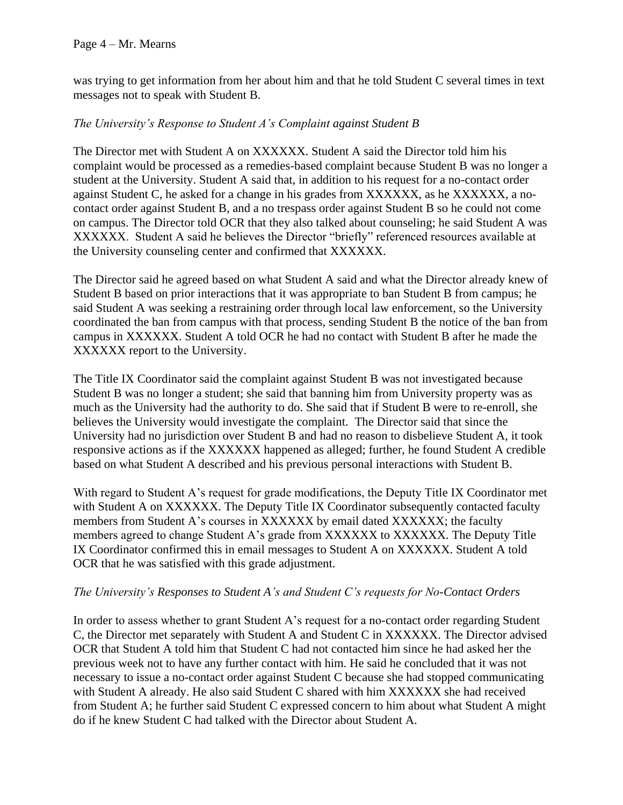### Page 4 – Mr. Mearns

was trying to get information from her about him and that he told Student C several times in text messages not to speak with Student B.

# *The University's Response to Student A's Complaint against Student B*

The Director met with Student A on XXXXXX. Student A said the Director told him his complaint would be processed as a remedies-based complaint because Student B was no longer a student at the University. Student A said that, in addition to his request for a no-contact order against Student C, he asked for a change in his grades from XXXXXX, as he XXXXXX, a nocontact order against Student B, and a no trespass order against Student B so he could not come on campus. The Director told OCR that they also talked about counseling; he said Student A was XXXXXX. Student A said he believes the Director "briefly" referenced resources available at the University counseling center and confirmed that XXXXXX.

The Director said he agreed based on what Student A said and what the Director already knew of Student B based on prior interactions that it was appropriate to ban Student B from campus; he said Student A was seeking a restraining order through local law enforcement, so the University coordinated the ban from campus with that process, sending Student B the notice of the ban from campus in XXXXXX. Student A told OCR he had no contact with Student B after he made the XXXXXX report to the University.

The Title IX Coordinator said the complaint against Student B was not investigated because Student B was no longer a student; she said that banning him from University property was as much as the University had the authority to do. She said that if Student B were to re-enroll, she believes the University would investigate the complaint. The Director said that since the University had no jurisdiction over Student B and had no reason to disbelieve Student A, it took responsive actions as if the XXXXXX happened as alleged; further, he found Student A credible based on what Student A described and his previous personal interactions with Student B.

With regard to Student A's request for grade modifications, the Deputy Title IX Coordinator met with Student A on XXXXXX. The Deputy Title IX Coordinator subsequently contacted faculty members from Student A's courses in XXXXXX by email dated XXXXXX; the faculty members agreed to change Student A's grade from XXXXXX to XXXXXX. The Deputy Title IX Coordinator confirmed this in email messages to Student A on XXXXXX. Student A told OCR that he was satisfied with this grade adjustment.

# *The University's Responses to Student A's and Student C's requests for No-Contact Orders*

In order to assess whether to grant Student A's request for a no-contact order regarding Student C, the Director met separately with Student A and Student C in XXXXXX. The Director advised OCR that Student A told him that Student C had not contacted him since he had asked her the previous week not to have any further contact with him. He said he concluded that it was not necessary to issue a no-contact order against Student C because she had stopped communicating with Student A already. He also said Student C shared with him XXXXXX she had received from Student A; he further said Student C expressed concern to him about what Student A might do if he knew Student C had talked with the Director about Student A.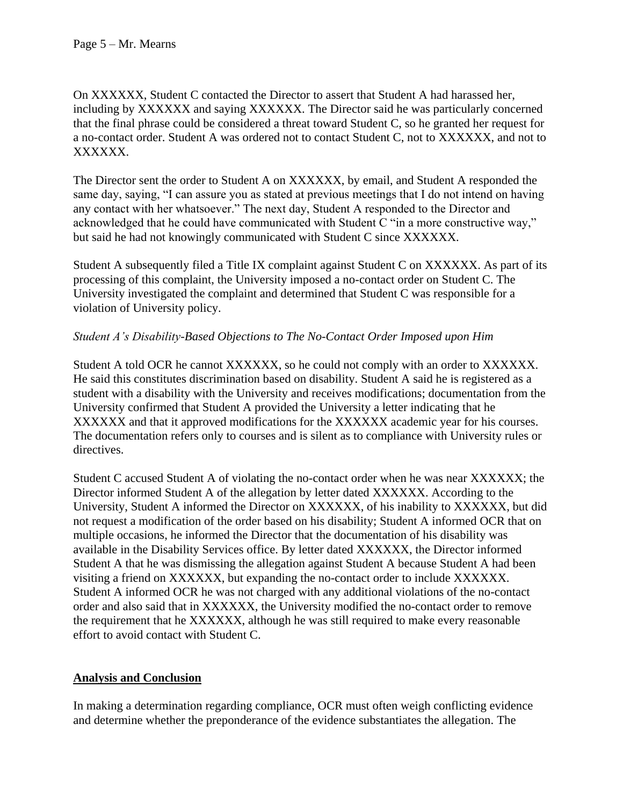On XXXXXX, Student C contacted the Director to assert that Student A had harassed her, including by XXXXXX and saying XXXXXX. The Director said he was particularly concerned that the final phrase could be considered a threat toward Student C, so he granted her request for a no-contact order. Student A was ordered not to contact Student C, not to XXXXXX, and not to XXXXXX.

The Director sent the order to Student A on XXXXXX, by email, and Student A responded the same day, saying, "I can assure you as stated at previous meetings that I do not intend on having any contact with her whatsoever." The next day, Student A responded to the Director and acknowledged that he could have communicated with Student C "in a more constructive way," but said he had not knowingly communicated with Student C since XXXXXX.

Student A subsequently filed a Title IX complaint against Student C on XXXXXX. As part of its processing of this complaint, the University imposed a no-contact order on Student C. The University investigated the complaint and determined that Student C was responsible for a violation of University policy.

# *Student A's Disability-Based Objections to The No-Contact Order Imposed upon Him*

Student A told OCR he cannot XXXXXX, so he could not comply with an order to XXXXXX. He said this constitutes discrimination based on disability. Student A said he is registered as a student with a disability with the University and receives modifications; documentation from the University confirmed that Student A provided the University a letter indicating that he XXXXXX and that it approved modifications for the XXXXXX academic year for his courses. The documentation refers only to courses and is silent as to compliance with University rules or directives.

Student C accused Student A of violating the no-contact order when he was near XXXXXX; the Director informed Student A of the allegation by letter dated XXXXXX. According to the University, Student A informed the Director on XXXXXX, of his inability to XXXXXX, but did not request a modification of the order based on his disability; Student A informed OCR that on multiple occasions, he informed the Director that the documentation of his disability was available in the Disability Services office. By letter dated XXXXXX, the Director informed Student A that he was dismissing the allegation against Student A because Student A had been visiting a friend on XXXXXX, but expanding the no-contact order to include XXXXXX. Student A informed OCR he was not charged with any additional violations of the no-contact order and also said that in XXXXXX, the University modified the no-contact order to remove the requirement that he XXXXXX, although he was still required to make every reasonable effort to avoid contact with Student C.

# **Analysis and Conclusion**

In making a determination regarding compliance, OCR must often weigh conflicting evidence and determine whether the preponderance of the evidence substantiates the allegation. The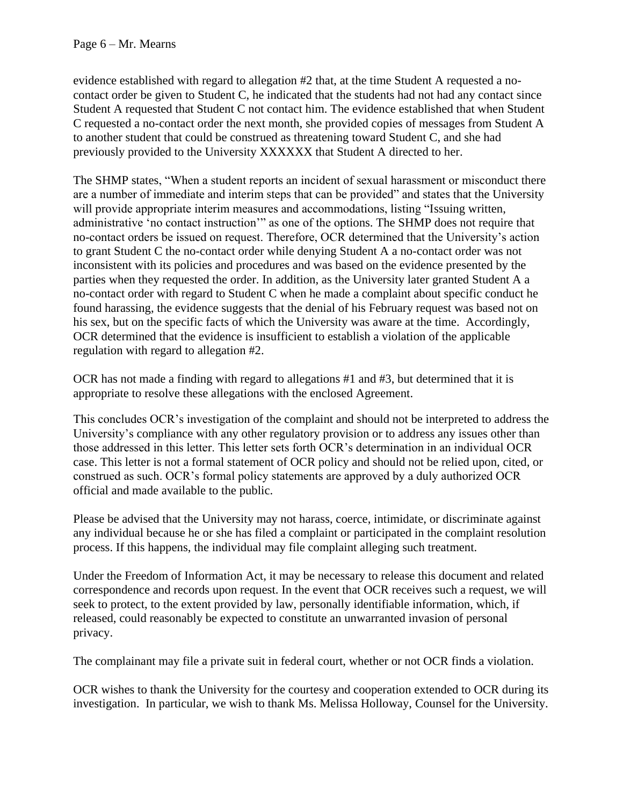evidence established with regard to allegation #2 that, at the time Student A requested a nocontact order be given to Student C, he indicated that the students had not had any contact since Student A requested that Student C not contact him. The evidence established that when Student C requested a no-contact order the next month, she provided copies of messages from Student A to another student that could be construed as threatening toward Student C, and she had previously provided to the University XXXXXX that Student A directed to her.

The SHMP states, "When a student reports an incident of sexual harassment or misconduct there are a number of immediate and interim steps that can be provided" and states that the University will provide appropriate interim measures and accommodations, listing "Issuing written, administrative 'no contact instruction'" as one of the options. The SHMP does not require that no-contact orders be issued on request. Therefore, OCR determined that the University's action to grant Student C the no-contact order while denying Student A a no-contact order was not inconsistent with its policies and procedures and was based on the evidence presented by the parties when they requested the order. In addition, as the University later granted Student A a no-contact order with regard to Student C when he made a complaint about specific conduct he found harassing, the evidence suggests that the denial of his February request was based not on his sex, but on the specific facts of which the University was aware at the time. Accordingly, OCR determined that the evidence is insufficient to establish a violation of the applicable regulation with regard to allegation #2.

OCR has not made a finding with regard to allegations #1 and #3, but determined that it is appropriate to resolve these allegations with the enclosed Agreement.

This concludes OCR's investigation of the complaint and should not be interpreted to address the University's compliance with any other regulatory provision or to address any issues other than those addressed in this letter. This letter sets forth OCR's determination in an individual OCR case. This letter is not a formal statement of OCR policy and should not be relied upon, cited, or construed as such. OCR's formal policy statements are approved by a duly authorized OCR official and made available to the public.

Please be advised that the University may not harass, coerce, intimidate, or discriminate against any individual because he or she has filed a complaint or participated in the complaint resolution process. If this happens, the individual may file complaint alleging such treatment.

Under the Freedom of Information Act, it may be necessary to release this document and related correspondence and records upon request. In the event that OCR receives such a request, we will seek to protect, to the extent provided by law, personally identifiable information, which, if released, could reasonably be expected to constitute an unwarranted invasion of personal privacy.

The complainant may file a private suit in federal court, whether or not OCR finds a violation.

OCR wishes to thank the University for the courtesy and cooperation extended to OCR during its investigation. In particular, we wish to thank Ms. Melissa Holloway, Counsel for the University.